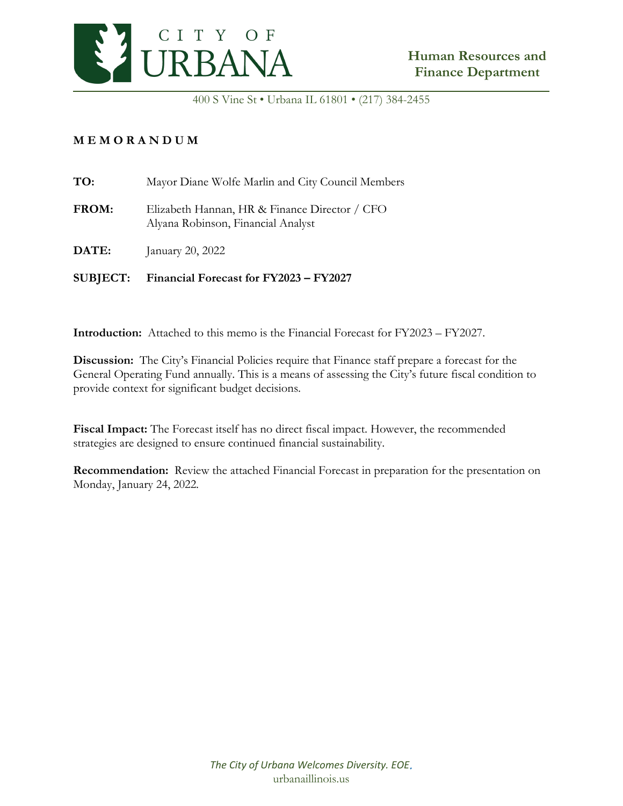

400 S Vine St • Urbana IL 61801 • (217) 384-2455

#### **M E M O R A N D U M**

| TO:          | Mayor Diane Wolfe Marlin and City Council Members                                   |
|--------------|-------------------------------------------------------------------------------------|
| <b>FROM:</b> | Elizabeth Hannan, HR & Finance Director / CFO<br>Alyana Robinson, Financial Analyst |
| DATE:        | January 20, 2022                                                                    |

**SUBJECT: Financial Forecast for FY2023 – FY2027**

**Introduction:** Attached to this memo is the Financial Forecast for FY2023 – FY2027.

**Discussion:** The City's Financial Policies require that Finance staff prepare a forecast for the General Operating Fund annually. This is a means of assessing the City's future fiscal condition to provide context for significant budget decisions.

**Fiscal Impact:** The Forecast itself has no direct fiscal impact. However, the recommended strategies are designed to ensure continued financial sustainability.

**Recommendation:** Review the attached Financial Forecast in preparation for the presentation on Monday, January 24, 2022.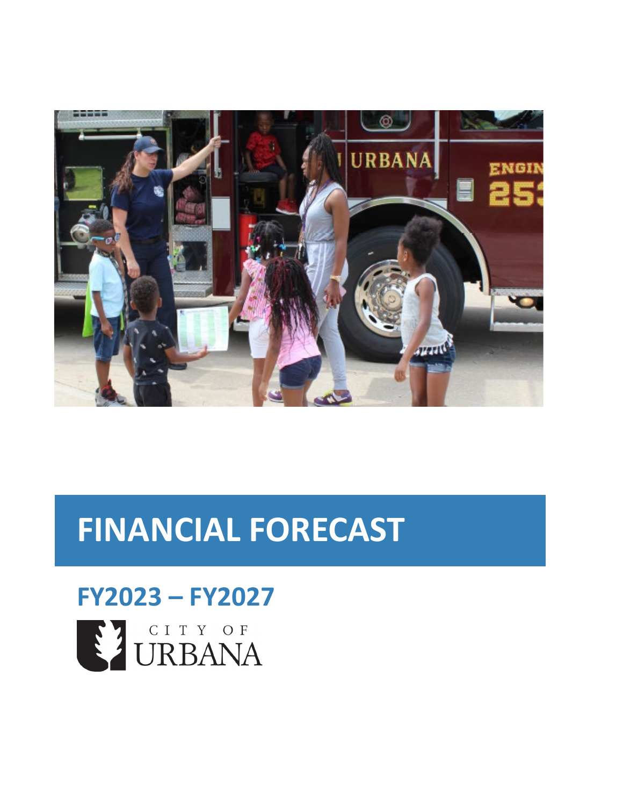

## **FINANCIAL FORECAST**

# **FY2023 – FY2027**SI CITY OF URBANA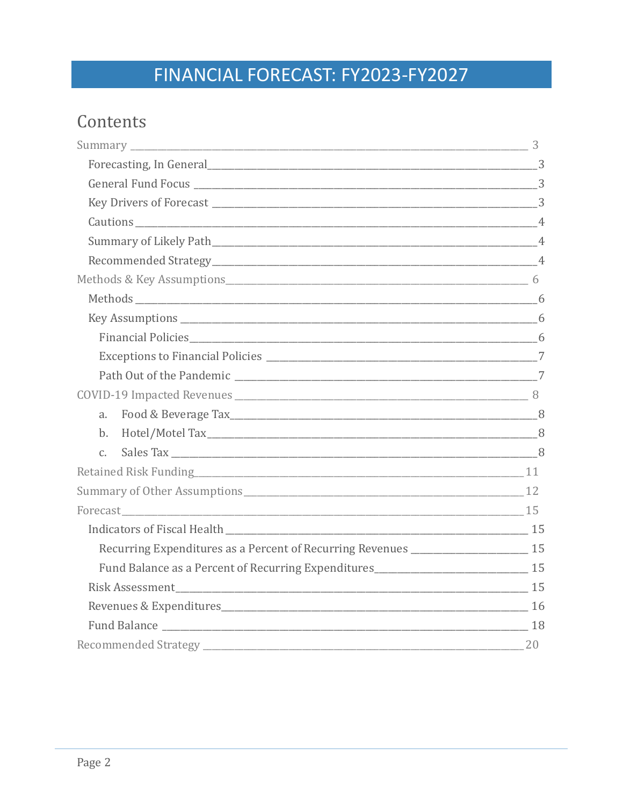### Contents

| a.                                                                                  |    |
|-------------------------------------------------------------------------------------|----|
| b.                                                                                  |    |
| C.                                                                                  |    |
|                                                                                     |    |
| Summary of Other Assumptions 12                                                     |    |
|                                                                                     |    |
|                                                                                     |    |
| Recurring Expenditures as a Percent of Recurring Revenues ______________________ 15 |    |
|                                                                                     |    |
|                                                                                     |    |
|                                                                                     |    |
|                                                                                     |    |
|                                                                                     | 20 |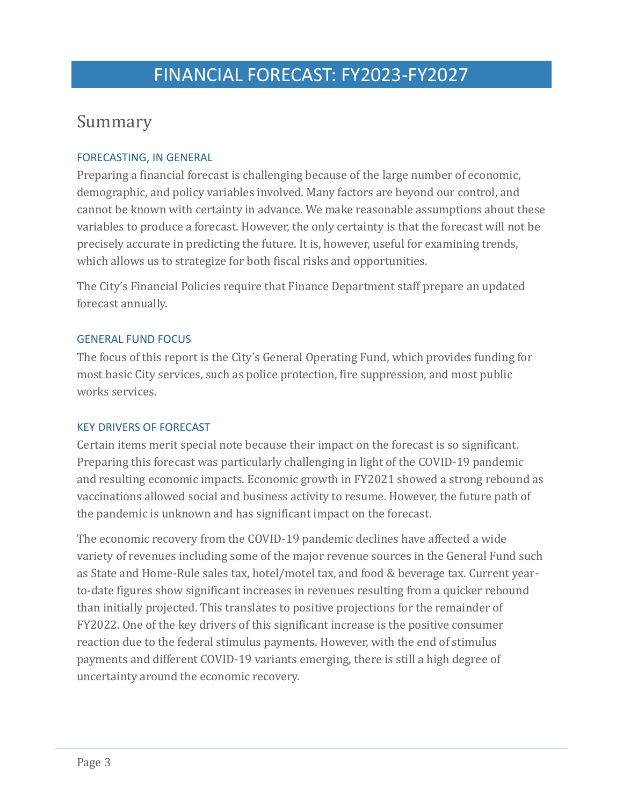### <span id="page-4-0"></span>Summary

#### <span id="page-4-1"></span>FORECASTING, IN GENERAL

Preparing a financial forecast is challenging because of the large number of economic, demographic, and policy variables involved. Many factors are beyond our control, and cannot be known with certainty in advance. We make reasonable assumptions about these variables to produce a forecast. However, the only certainty is that the forecast will not be precisely accurate in predicting the future. It is, however, useful for examining trends, which allows us to strategize for both fiscal risks and opportunities.

The City's Financial Policies require that Finance Department staff prepare an updated forecast annually.

#### <span id="page-4-2"></span>GENERAL FUND FOCUS

The focus of this report is the City's General Operating Fund, which provides funding for most basic City services, such as police protection, fire suppression, and most public works services.

#### <span id="page-4-3"></span>KEY DRIVERS OF FORECAST

Certain items merit special note because their impact on the forecast is so significant. Preparing this forecast was particularly challenging in light of the COVID-19 pandemic and resulting economic impacts. Economic growth in FY2021 showed a strong rebound as vaccinations allowed social and business activity to resume. However, the future path of the pandemic is unknown and has significant impact on the forecast.

The economic recovery from the COVID-19 pandemic declines have affected a wide variety of revenues including some of the major revenue sources in the General Fund such as State and Home-Rule sales tax, hotel/motel tax, and food & beverage tax. Current yearto-date figures show significant increases in revenues resulting from a quicker rebound than initially projected. This translates to positive projections for the remainder of FY2022. One of the key drivers of this significant increase is the positive consumer reaction due to the federal stimulus payments. However, with the end of stimulus payments and different COVID-19 variants emerging, there is still a high degree of uncertainty around the economic recovery.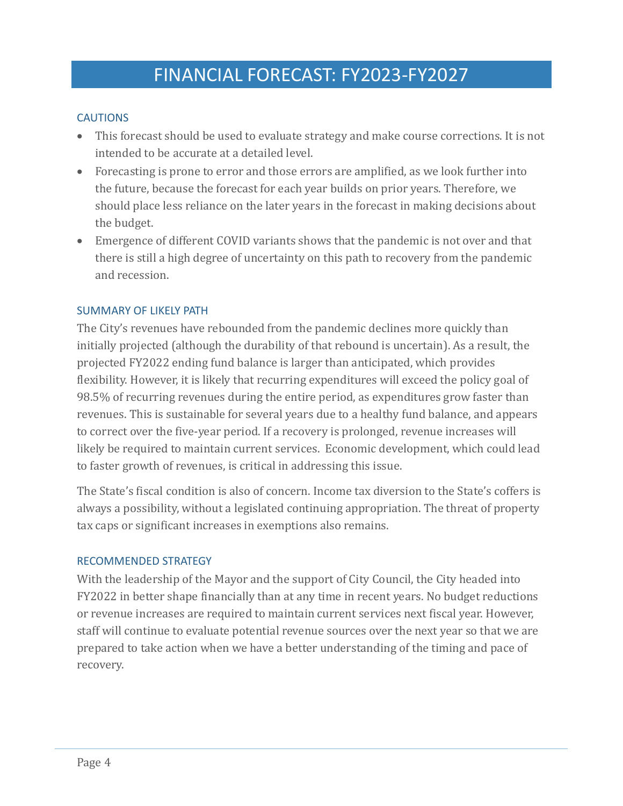#### <span id="page-5-0"></span>**CAUTIONS**

- This forecast should be used to evaluate strategy and make course corrections. It is not intended to be accurate at a detailed level.
- Forecasting is prone to error and those errors are amplified, as we look further into the future, because the forecast for each year builds on prior years. Therefore, we should place less reliance on the later years in the forecast in making decisions about the budget.
- Emergence of different COVID variants shows that the pandemic is not over and that there is still a high degree of uncertainty on this path to recovery from the pandemic and recession.

#### <span id="page-5-1"></span>SUMMARY OF LIKELY PATH

The City's revenues have rebounded from the pandemic declines more quickly than initially projected (although the durability of that rebound is uncertain). As a result, the projected FY2022 ending fund balance is larger than anticipated, which provides flexibility. However, it is likely that recurring expenditures will exceed the policy goal of 98.5% of recurring revenues during the entire period, as expenditures grow faster than revenues. This is sustainable for several years due to a healthy fund balance, and appears to correct over the five-year period. If a recovery is prolonged, revenue increases will likely be required to maintain current services. Economic development, which could lead to faster growth of revenues, is critical in addressing this issue.

The State's fiscal condition is also of concern. Income tax diversion to the State's coffers is always a possibility, without a legislated continuing appropriation. The threat of property tax caps or significant increases in exemptions also remains.

#### <span id="page-5-2"></span>RECOMMENDED STRATEGY

With the leadership of the Mayor and the support of City Council, the City headed into FY2022 in better shape financially than at any time in recent years. No budget reductions or revenue increases are required to maintain current services next fiscal year. However, staff will continue to evaluate potential revenue sources over the next year so that we are prepared to take action when we have a better understanding of the timing and pace of recovery.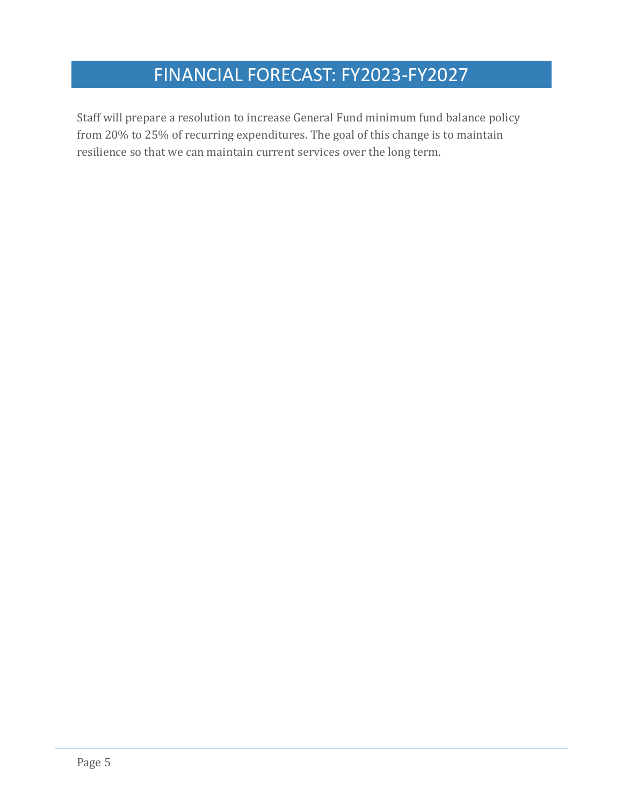Staff will prepare a resolution to increase General Fund minimum fund balance policy from 20% to 25% of recurring expenditures. The goal of this change is to maintain resilience so that we can maintain current services over the long term.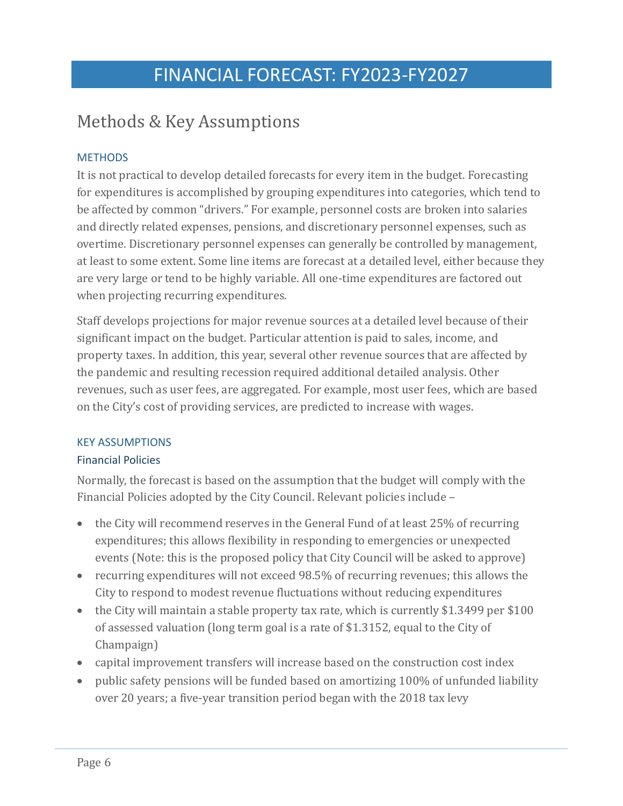### <span id="page-7-0"></span>Methods & Key Assumptions

#### <span id="page-7-1"></span>**METHODS**

It is not practical to develop detailed forecasts for every item in the budget. Forecasting for expenditures is accomplished by grouping expenditures into categories, which tend to be affected by common "drivers." For example, personnel costs are broken into salaries and directly related expenses, pensions, and discretionary personnel expenses, such as overtime. Discretionary personnel expenses can generally be controlled by management, at least to some extent. Some line items are forecast at a detailed level, either because they are very large or tend to be highly variable. All one-time expenditures are factored out when projecting recurring expenditures.

Staff develops projections for major revenue sources at a detailed level because of their significant impact on the budget. Particular attention is paid to sales, income, and property taxes. In addition, this year, several other revenue sources that are affected by the pandemic and resulting recession required additional detailed analysis. Other revenues, such as user fees, are aggregated. For example, most user fees, which are based on the City's cost of providing services, are predicted to increase with wages.

#### <span id="page-7-2"></span>KEY ASSUMPTIONS

#### <span id="page-7-3"></span>Financial Policies

Normally, the forecast is based on the assumption that the budget will comply with the Financial Policies adopted by the City Council. Relevant policies include –

- the City will recommend reserves in the General Fund of at least 25% of recurring expenditures; this allows flexibility in responding to emergencies or unexpected events (Note: this is the proposed policy that City Council will be asked to approve)
- recurring expenditures will not exceed 98.5% of recurring revenues; this allows the City to respond to modest revenue fluctuations without reducing expenditures
- the City will maintain a stable property tax rate, which is currently \$1.3499 per \$100 of assessed valuation (long term goal is a rate of \$1.3152, equal to the City of Champaign)
- capital improvement transfers will increase based on the construction cost index
- public safety pensions will be funded based on amortizing 100% of unfunded liability over 20 years; a five-year transition period began with the 2018 tax levy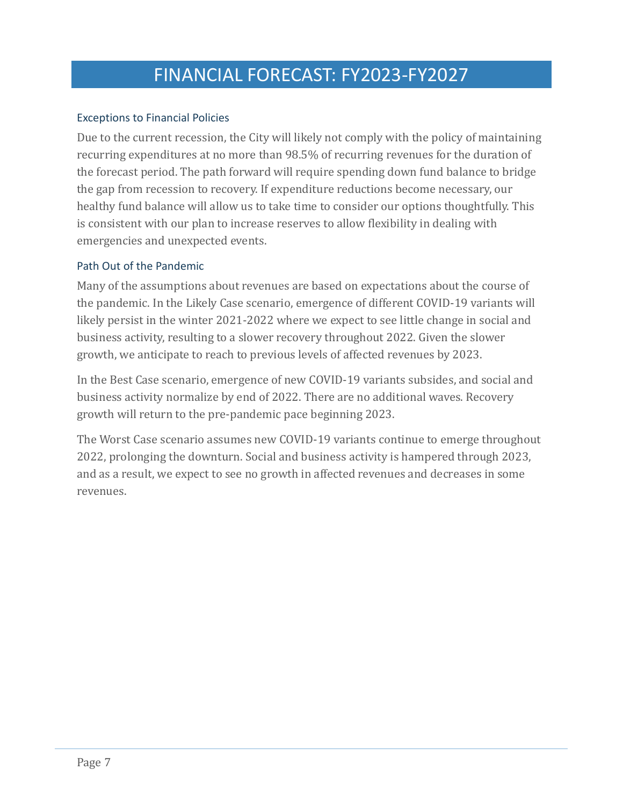#### <span id="page-8-0"></span>Exceptions to Financial Policies

Due to the current recession, the City will likely not comply with the policy of maintaining recurring expenditures at no more than 98.5% of recurring revenues for the duration of the forecast period. The path forward will require spending down fund balance to bridge the gap from recession to recovery. If expenditure reductions become necessary, our healthy fund balance will allow us to take time to consider our options thoughtfully. This is consistent with our plan to increase reserves to allow flexibility in dealing with emergencies and unexpected events.

#### <span id="page-8-1"></span>Path Out of the Pandemic

Many of the assumptions about revenues are based on expectations about the course of the pandemic. In the Likely Case scenario, emergence of different COVID-19 variants will likely persist in the winter 2021-2022 where we expect to see little change in social and business activity, resulting to a slower recovery throughout 2022. Given the slower growth, we anticipate to reach to previous levels of affected revenues by 2023.

In the Best Case scenario, emergence of new COVID-19 variants subsides, and social and business activity normalize by end of 2022. There are no additional waves. Recovery growth will return to the pre-pandemic pace beginning 2023.

The Worst Case scenario assumes new COVID-19 variants continue to emerge throughout 2022, prolonging the downturn. Social and business activity is hampered through 2023, and as a result, we expect to see no growth in affected revenues and decreases in some revenues.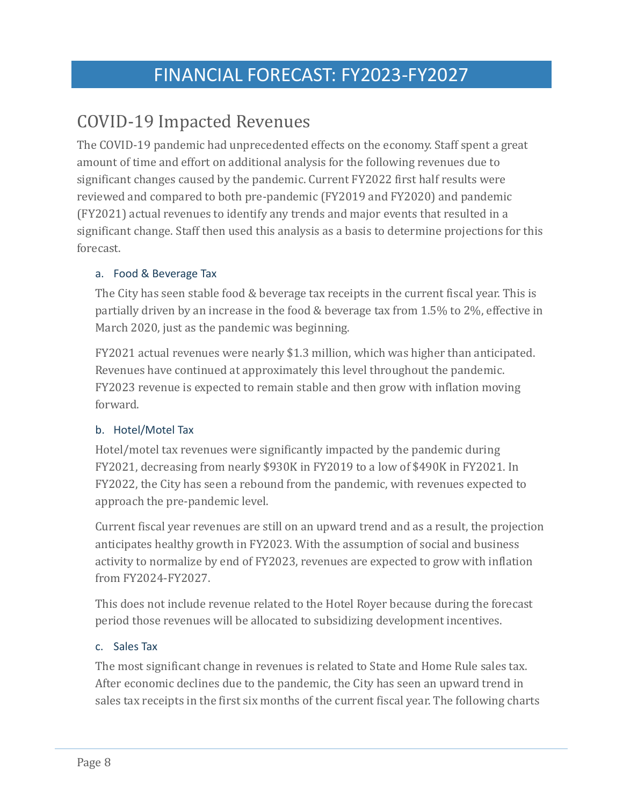### <span id="page-9-0"></span>COVID-19 Impacted Revenues

The COVID-19 pandemic had unprecedented effects on the economy. Staff spent a great amount of time and effort on additional analysis for the following revenues due to significant changes caused by the pandemic. Current FY2022 first half results were reviewed and compared to both pre-pandemic (FY2019 and FY2020) and pandemic (FY2021) actual revenues to identify any trends and major events that resulted in a significant change. Staff then used this analysis as a basis to determine projections for this forecast.

#### <span id="page-9-1"></span>a. Food & Beverage Tax

The City has seen stable food & beverage tax receipts in the current fiscal year. This is partially driven by an increase in the food & beverage tax from 1.5% to 2%, effective in March 2020, just as the pandemic was beginning.

FY2021 actual revenues were nearly \$1.3 million, which was higher than anticipated. Revenues have continued at approximately this level throughout the pandemic. FY2023 revenue is expected to remain stable and then grow with inflation moving forward.

#### <span id="page-9-2"></span>b. Hotel/Motel Tax

Hotel/motel tax revenues were significantly impacted by the pandemic during FY2021, decreasing from nearly \$930K in FY2019 to a low of \$490K in FY2021. In FY2022, the City has seen a rebound from the pandemic, with revenues expected to approach the pre-pandemic level.

Current fiscal year revenues are still on an upward trend and as a result, the projection anticipates healthy growth in FY2023. With the assumption of social and business activity to normalize by end of FY2023, revenues are expected to grow with inflation from FY2024-FY2027.

This does not include revenue related to the Hotel Royer because during the forecast period those revenues will be allocated to subsidizing development incentives.

#### <span id="page-9-3"></span>c. Sales Tax

The most significant change in revenues is related to State and Home Rule sales tax. After economic declines due to the pandemic, the City has seen an upward trend in sales tax receipts in the first six months of the current fiscal year. The following charts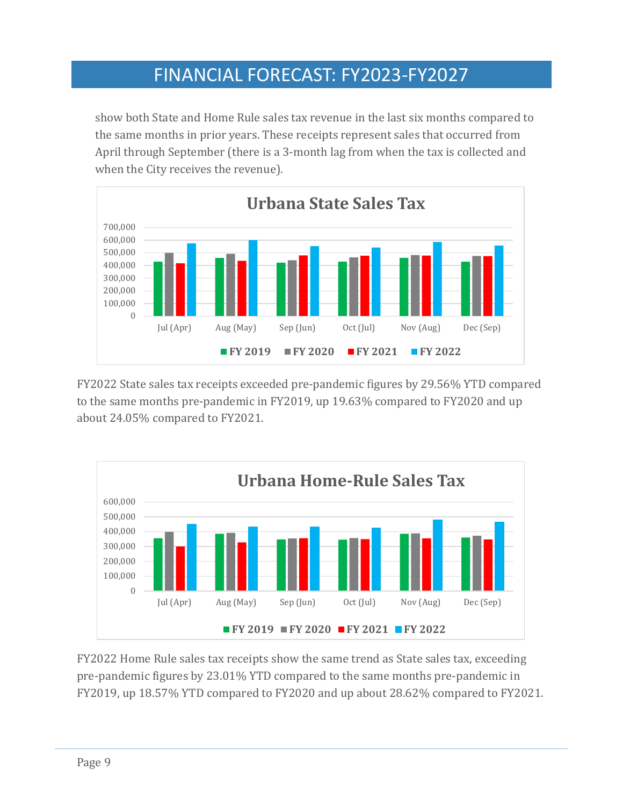show both State and Home Rule sales tax revenue in the last six months compared to the same months in prior years. These receipts represent sales that occurred from April through September (there is a 3-month lag from when the tax is collected and when the City receives the revenue).



FY2022 State sales tax receipts exceeded pre-pandemic figures by 29.56% YTD compared to the same months pre-pandemic in FY2019, up 19.63% compared to FY2020 and up about 24.05% compared to FY2021.



FY2022 Home Rule sales tax receipts show the same trend as State sales tax, exceeding pre-pandemic figures by 23.01% YTD compared to the same months pre-pandemic in FY2019, up 18.57% YTD compared to FY2020 and up about 28.62% compared to FY2021.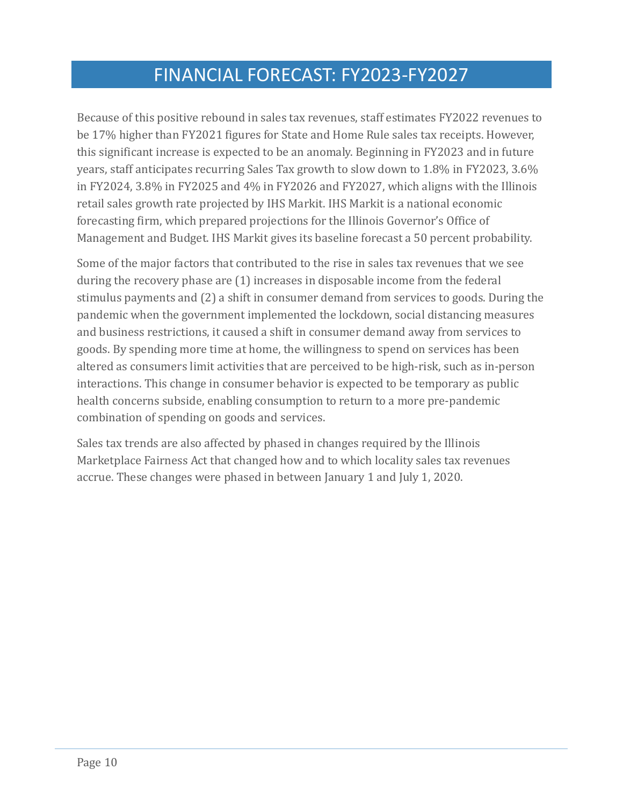Because of this positive rebound in sales tax revenues, staff estimates FY2022 revenues to be 17% higher than FY2021 figures for State and Home Rule sales tax receipts. However, this significant increase is expected to be an anomaly. Beginning in FY2023 and in future years, staff anticipates recurring Sales Tax growth to slow down to 1.8% in FY2023, 3.6% in FY2024, 3.8% in FY2025 and 4% in FY2026 and FY2027, which aligns with the Illinois retail sales growth rate projected by IHS Markit. IHS Markit is a national economic forecasting firm, which prepared projections for the Illinois Governor's Office of Management and Budget. IHS Markit gives its baseline forecast a 50 percent probability.

Some of the major factors that contributed to the rise in sales tax revenues that we see during the recovery phase are (1) increases in disposable income from the federal stimulus payments and (2) a shift in consumer demand from services to goods. During the pandemic when the government implemented the lockdown, social distancing measures and business restrictions, it caused a shift in consumer demand away from services to goods. By spending more time at home, the willingness to spend on services has been altered as consumers limit activities that are perceived to be high-risk, such as in-person interactions. This change in consumer behavior is expected to be temporary as public health concerns subside, enabling consumption to return to a more pre-pandemic combination of spending on goods and services.

Sales tax trends are also affected by phased in changes required by the Illinois Marketplace Fairness Act that changed how and to which locality sales tax revenues accrue. These changes were phased in between January 1 and July 1, 2020.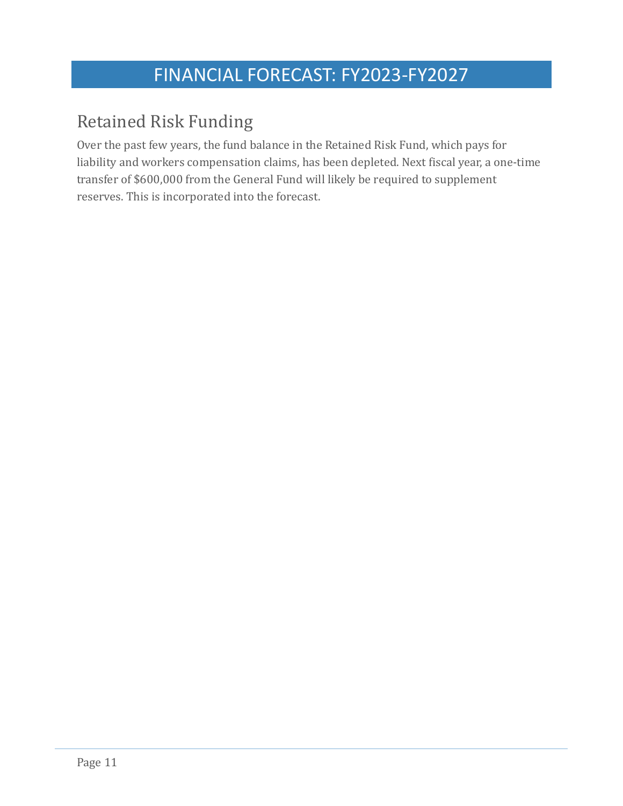### <span id="page-12-0"></span>Retained Risk Funding

Over the past few years, the fund balance in the Retained Risk Fund, which pays for liability and workers compensation claims, has been depleted. Next fiscal year, a one-time transfer of \$600,000 from the General Fund will likely be required to supplement reserves. This is incorporated into the forecast.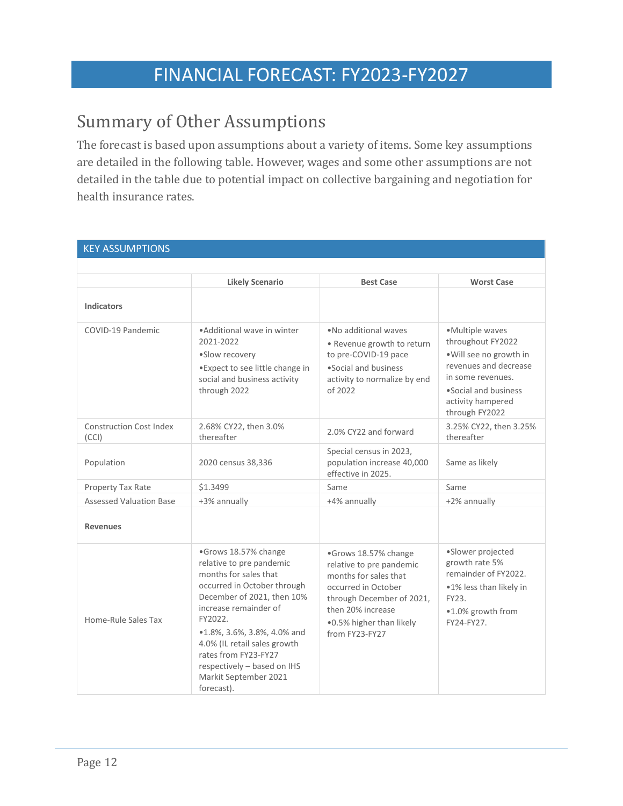### <span id="page-13-0"></span>Summary of Other Assumptions

The forecast is based upon assumptions about a variety of items. Some key assumptions are detailed in the following table. However, wages and some other assumptions are not detailed in the table due to potential impact on collective bargaining and negotiation for health insurance rates.

| <b>KEY ASSUMPTIONS</b>                  |                                                                                                                                                                                                                                                                                                                                         |                                                                                                                                                                                                  |                                                                                                                                                                                |  |
|-----------------------------------------|-----------------------------------------------------------------------------------------------------------------------------------------------------------------------------------------------------------------------------------------------------------------------------------------------------------------------------------------|--------------------------------------------------------------------------------------------------------------------------------------------------------------------------------------------------|--------------------------------------------------------------------------------------------------------------------------------------------------------------------------------|--|
|                                         |                                                                                                                                                                                                                                                                                                                                         |                                                                                                                                                                                                  |                                                                                                                                                                                |  |
|                                         | <b>Likely Scenario</b>                                                                                                                                                                                                                                                                                                                  | <b>Best Case</b>                                                                                                                                                                                 | <b>Worst Case</b>                                                                                                                                                              |  |
| <b>Indicators</b>                       |                                                                                                                                                                                                                                                                                                                                         |                                                                                                                                                                                                  |                                                                                                                                                                                |  |
| COVID-19 Pandemic                       | • Additional wave in winter<br>2021-2022<br>·Slow recovery<br>• Expect to see little change in<br>social and business activity<br>through 2022                                                                                                                                                                                          | . No additional waves<br>· Revenue growth to return<br>to pre-COVID-19 pace<br>. Social and business<br>activity to normalize by end<br>of 2022                                                  | • Multiple waves<br>throughout FY2022<br>. Will see no growth in<br>revenues and decrease<br>in some revenues.<br>. Social and business<br>activity hampered<br>through FY2022 |  |
| <b>Construction Cost Index</b><br>(CCI) | 2.68% CY22, then 3.0%<br>thereafter                                                                                                                                                                                                                                                                                                     | 2.0% CY22 and forward                                                                                                                                                                            | 3.25% CY22, then 3.25%<br>thereafter                                                                                                                                           |  |
| Population                              | 2020 census 38,336                                                                                                                                                                                                                                                                                                                      | Special census in 2023,<br>population increase 40,000<br>effective in 2025.                                                                                                                      | Same as likely                                                                                                                                                                 |  |
| Property Tax Rate                       | \$1.3499                                                                                                                                                                                                                                                                                                                                | Same                                                                                                                                                                                             | Same                                                                                                                                                                           |  |
| <b>Assessed Valuation Base</b>          | +3% annually                                                                                                                                                                                                                                                                                                                            | +4% annually                                                                                                                                                                                     | +2% annually                                                                                                                                                                   |  |
| <b>Revenues</b>                         |                                                                                                                                                                                                                                                                                                                                         |                                                                                                                                                                                                  |                                                                                                                                                                                |  |
| Home-Rule Sales Tax                     | •Grows 18.57% change<br>relative to pre pandemic<br>months for sales that<br>occurred in October through<br>December of 2021, then 10%<br>increase remainder of<br>FY2022.<br>•1.8%, 3.6%, 3.8%, 4.0% and<br>4.0% (IL retail sales growth<br>rates from FY23-FY27<br>respectively - based on IHS<br>Markit September 2021<br>forecast). | •Grows 18.57% change<br>relative to pre pandemic<br>months for sales that<br>occurred in October<br>through December of 2021,<br>then 20% increase<br>.0.5% higher than likely<br>from FY23-FY27 | •Slower projected<br>growth rate 5%<br>remainder of FY2022.<br>.1% less than likely in<br>FY23.<br>.1.0% growth from<br>FY24-FY27.                                             |  |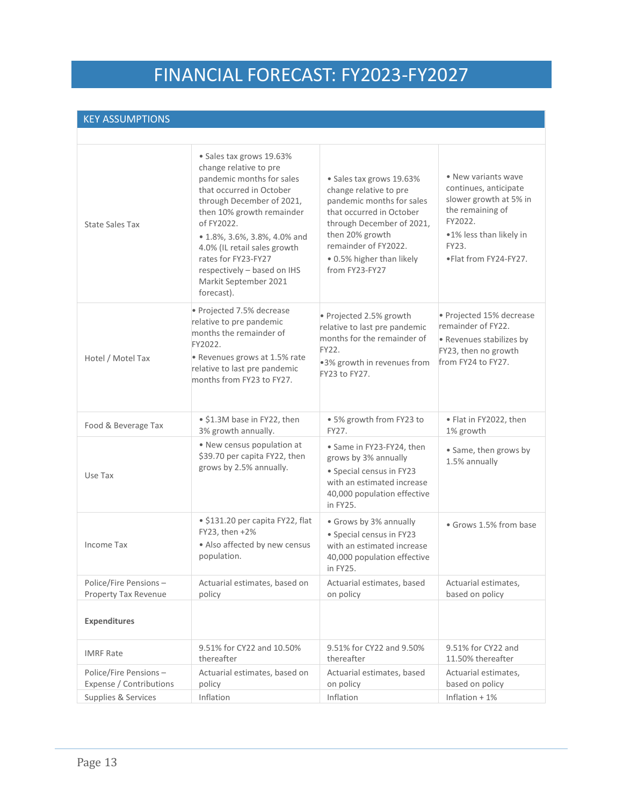#### KEY ASSUMPTIONS

| <b>State Sales Tax</b>                           | · Sales tax grows 19.63%<br>change relative to pre<br>pandemic months for sales<br>that occurred in October<br>through December of 2021,<br>then 10% growth remainder<br>of FY2022.<br>• 1.8%, 3.6%, 3.8%, 4.0% and<br>4.0% (IL retail sales growth<br>rates for FY23-FY27<br>respectively - based on IHS<br>Markit September 2021<br>forecast). | • Sales tax grows 19.63%<br>change relative to pre<br>pandemic months for sales<br>that occurred in October<br>through December of 2021,<br>then 20% growth<br>remainder of FY2022.<br>. 0.5% higher than likely<br>from FY23-FY27 | • New variants wave<br>continues, anticipate<br>slower growth at 5% in<br>the remaining of<br>FY2022.<br>.1% less than likely in<br>FY23.<br>.Flat from FY24-FY27. |
|--------------------------------------------------|--------------------------------------------------------------------------------------------------------------------------------------------------------------------------------------------------------------------------------------------------------------------------------------------------------------------------------------------------|------------------------------------------------------------------------------------------------------------------------------------------------------------------------------------------------------------------------------------|--------------------------------------------------------------------------------------------------------------------------------------------------------------------|
| Hotel / Motel Tax                                | • Projected 7.5% decrease<br>relative to pre pandemic<br>months the remainder of<br>FY2022.<br>• Revenues grows at 1.5% rate<br>relative to last pre pandemic<br>months from FY23 to FY27.                                                                                                                                                       | • Projected 2.5% growth<br>relative to last pre pandemic<br>months for the remainder of<br>FY22.<br>.3% growth in revenues from<br>FY23 to FY27.                                                                                   | • Projected 15% decrease<br>remainder of FY22.<br>• Revenues stabilizes by<br>FY23, then no growth<br>from FY24 to FY27.                                           |
| Food & Beverage Tax                              | • \$1.3M base in FY22, then<br>3% growth annually.                                                                                                                                                                                                                                                                                               | · 5% growth from FY23 to<br>FY27.                                                                                                                                                                                                  | • Flat in FY2022, then<br>1% growth                                                                                                                                |
| Use Tax                                          | • New census population at<br>\$39.70 per capita FY22, then<br>grows by 2.5% annually.                                                                                                                                                                                                                                                           | • Same in FY23-FY24, then<br>grows by 3% annually<br>· Special census in FY23<br>with an estimated increase<br>40,000 population effective<br>in FY25.                                                                             | · Same, then grows by<br>1.5% annually                                                                                                                             |
| Income Tax                                       | • \$131.20 per capita FY22, flat<br>FY23, then +2%<br>• Also affected by new census<br>population.                                                                                                                                                                                                                                               | • Grows by 3% annually<br>· Special census in FY23<br>with an estimated increase<br>40,000 population effective<br>in FY25.                                                                                                        | • Grows 1.5% from base                                                                                                                                             |
| Police/Fire Pensions-<br>Property Tax Revenue    | Actuarial estimates, based on<br>policy                                                                                                                                                                                                                                                                                                          | Actuarial estimates, based<br>on policy                                                                                                                                                                                            | Actuarial estimates,<br>based on policy                                                                                                                            |
| <b>Expenditures</b>                              |                                                                                                                                                                                                                                                                                                                                                  |                                                                                                                                                                                                                                    |                                                                                                                                                                    |
| <b>IMRF Rate</b>                                 | 9.51% for CY22 and 10.50%<br>thereafter                                                                                                                                                                                                                                                                                                          | 9.51% for CY22 and 9.50%<br>thereafter                                                                                                                                                                                             | 9.51% for CY22 and<br>11.50% thereafter                                                                                                                            |
| Police/Fire Pensions-<br>Expense / Contributions | Actuarial estimates, based on<br>policy                                                                                                                                                                                                                                                                                                          | Actuarial estimates, based<br>on policy                                                                                                                                                                                            | Actuarial estimates.<br>based on policy                                                                                                                            |
| Supplies & Services                              | Inflation                                                                                                                                                                                                                                                                                                                                        | Inflation                                                                                                                                                                                                                          | Inflation + 1%                                                                                                                                                     |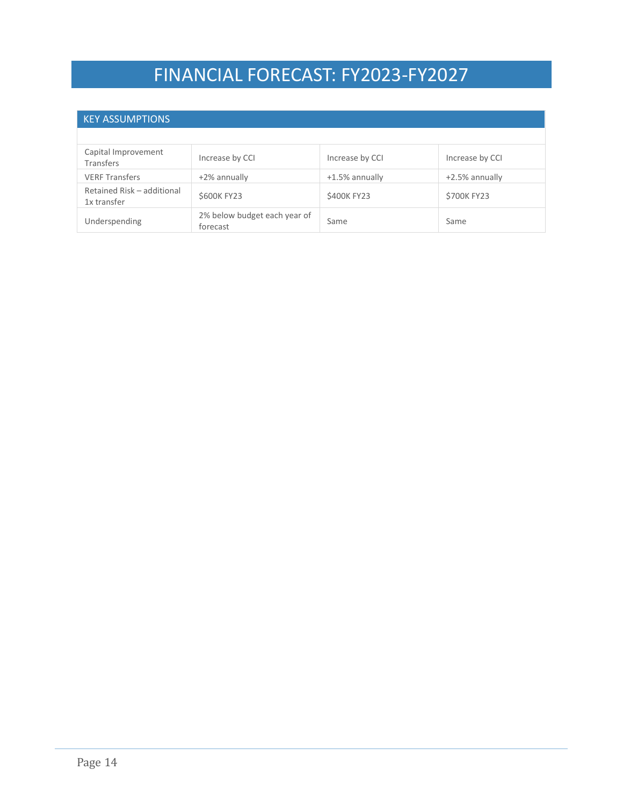#### KEY ASSUMPTIONS

| Capital Improvement<br><b>Transfers</b>   | Increase by CCI                          | Increase by CCI | Increase by CCI |
|-------------------------------------------|------------------------------------------|-----------------|-----------------|
| <b>VERF Transfers</b>                     | $+2\%$ annually                          | +1.5% annually  | +2.5% annually  |
| Retained Risk - additional<br>1x transfer | \$600K FY23                              | \$400K FY23     | \$700K FY23     |
| Underspending                             | 2% below budget each year of<br>forecast | Same            | Same            |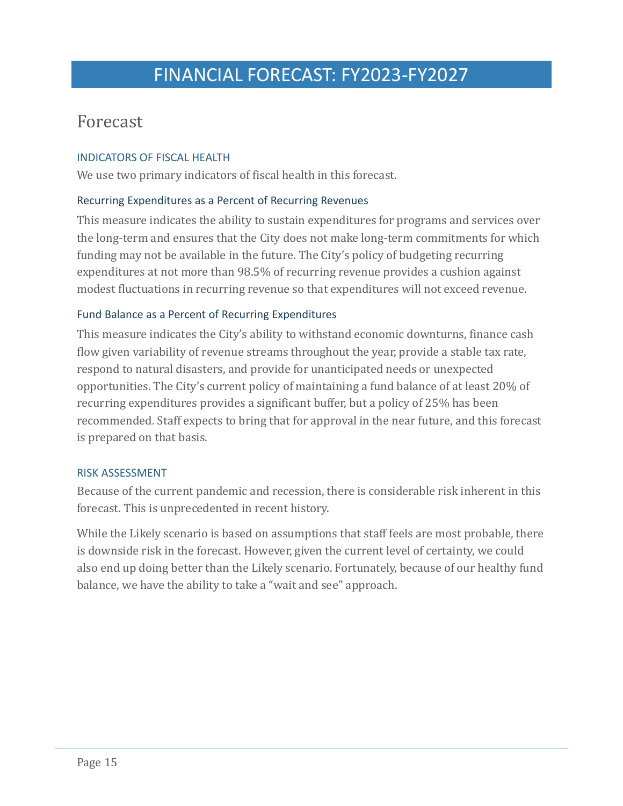### <span id="page-16-0"></span>Forecast

#### <span id="page-16-1"></span>INDICATORS OF FISCAL HEALTH

We use two primary indicators of fiscal health in this forecast.

#### <span id="page-16-2"></span>Recurring Expenditures as a Percent of Recurring Revenues

This measure indicates the ability to sustain expenditures for programs and services over the long-term and ensures that the City does not make long-term commitments for which funding may not be available in the future. The City's policy of budgeting recurring expenditures at not more than 98.5% of recurring revenue provides a cushion against modest fluctuations in recurring revenue so that expenditures will not exceed revenue.

#### <span id="page-16-3"></span>Fund Balance as a Percent of Recurring Expenditures

This measure indicates the City's ability to withstand economic downturns, finance cash flow given variability of revenue streams throughout the year, provide a stable tax rate, respond to natural disasters, and provide for unanticipated needs or unexpected opportunities. The City's current policy of maintaining a fund balance of at least 20% of recurring expenditures provides a significant buffer, but a policy of 25% has been recommended. Staff expects to bring that for approval in the near future, and this forecast is prepared on that basis.

#### <span id="page-16-4"></span>RISK ASSESSMENT

Because of the current pandemic and recession, there is considerable risk inherent in this forecast. This is unprecedented in recent history.

While the Likely scenario is based on assumptions that staff feels are most probable, there is downside risk in the forecast. However, given the current level of certainty, we could also end up doing better than the Likely scenario. Fortunately, because of our healthy fund balance, we have the ability to take a "wait and see" approach.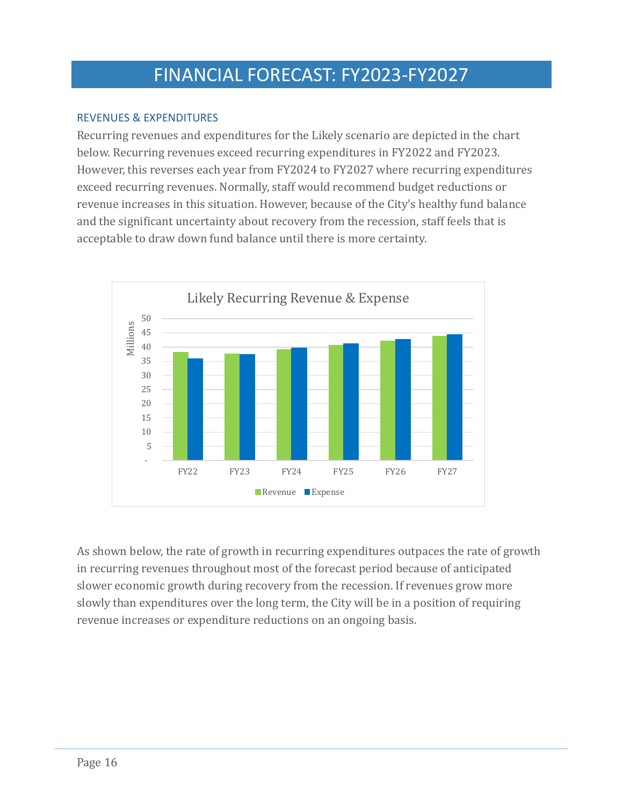#### <span id="page-17-0"></span>REVENUES & EXPENDITURES

Recurring revenues and expenditures for the Likely scenario are depicted in the chart below. Recurring revenues exceed recurring expenditures in FY2022 and FY2023. However, this reverses each year from FY2024 to FY2027 where recurring expenditures exceed recurring revenues. Normally, staff would recommend budget reductions or revenue increases in this situation. However, because of the City's healthy fund balance and the significant uncertainty about recovery from the recession, staff feels that is acceptable to draw down fund balance until there is more certainty.



As shown below, the rate of growth in recurring expenditures outpaces the rate of growth in recurring revenues throughout most of the forecast period because of anticipated slower economic growth during recovery from the recession. If revenues grow more slowly than expenditures over the long term, the City will be in a position of requiring revenue increases or expenditure reductions on an ongoing basis.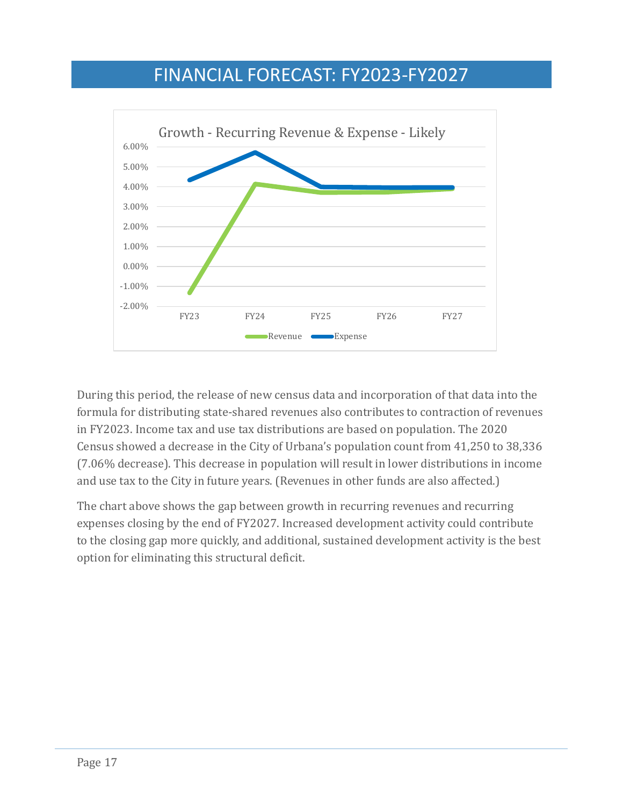

During this period, the release of new census data and incorporation of that data into the formula for distributing state-shared revenues also contributes to contraction of revenues in FY2023. Income tax and use tax distributions are based on population. The 2020 Census showed a decrease in the City of Urbana's population count from 41,250 to 38,336 (7.06% decrease). This decrease in population will result in lower distributions in income and use tax to the City in future years. (Revenues in other funds are also affected.)

The chart above shows the gap between growth in recurring revenues and recurring expenses closing by the end of FY2027. Increased development activity could contribute to the closing gap more quickly, and additional, sustained development activity is the best option for eliminating this structural deficit.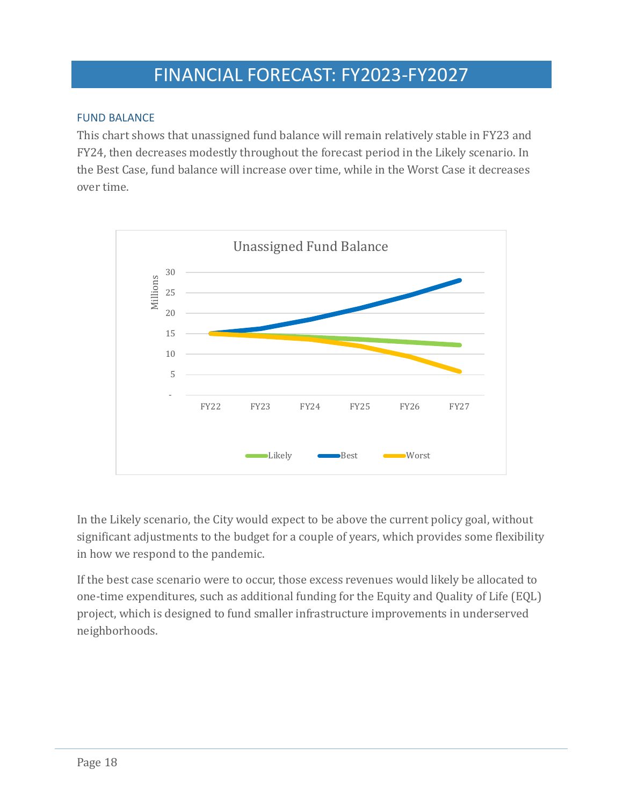#### <span id="page-19-0"></span>FUND BALANCE

This chart shows that unassigned fund balance will remain relatively stable in FY23 and FY24, then decreases modestly throughout the forecast period in the Likely scenario. In the Best Case, fund balance will increase over time, while in the Worst Case it decreases over time.



In the Likely scenario, the City would expect to be above the current policy goal, without significant adjustments to the budget for a couple of years, which provides some flexibility in how we respond to the pandemic.

If the best case scenario were to occur, those excess revenues would likely be allocated to one-time expenditures, such as additional funding for the Equity and Quality of Life (EQL) project, which is designed to fund smaller infrastructure improvements in underserved neighborhoods.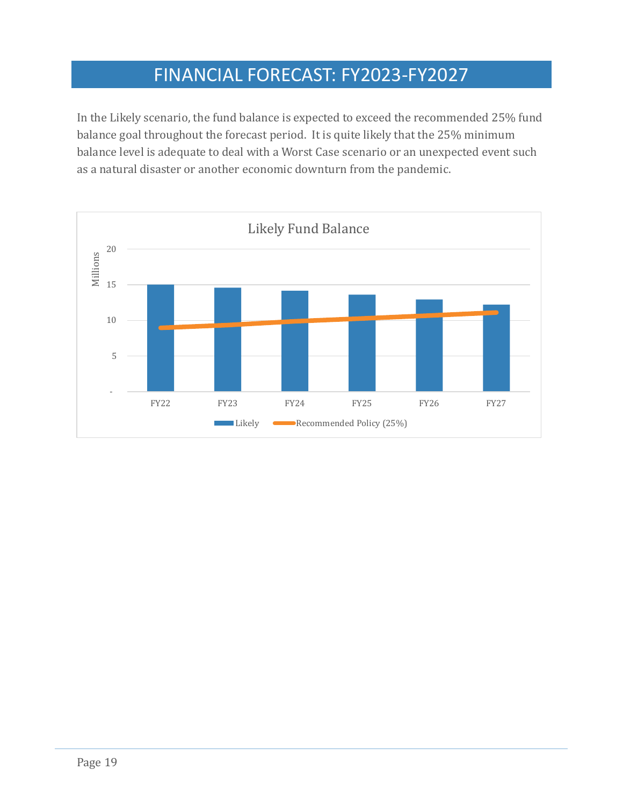In the Likely scenario, the fund balance is expected to exceed the recommended 25% fund balance goal throughout the forecast period. It is quite likely that the 25% minimum balance level is adequate to deal with a Worst Case scenario or an unexpected event such as a natural disaster or another economic downturn from the pandemic.